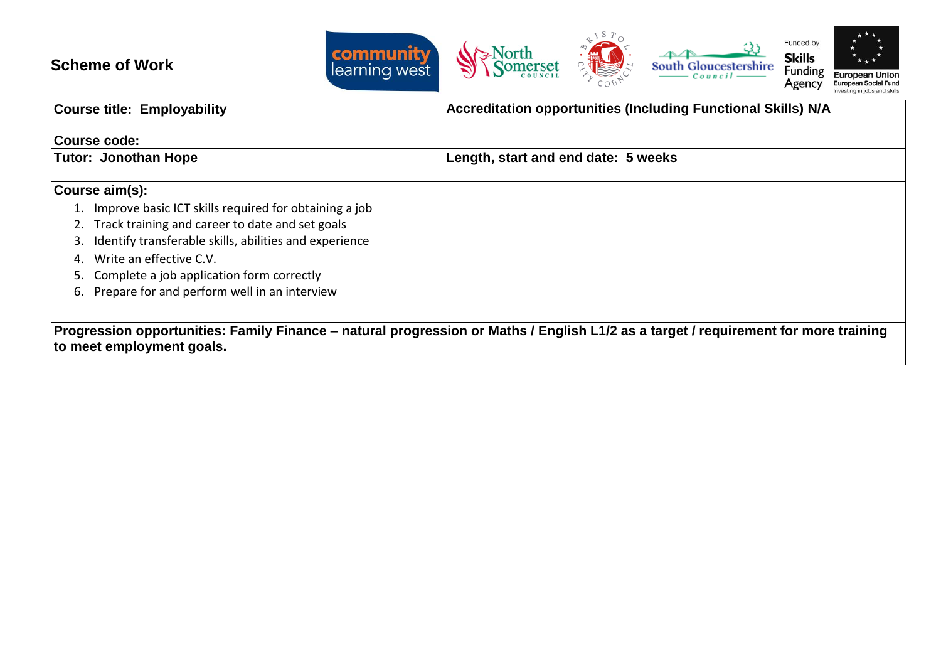## **Scheme of Work**



| Course title: Employability |                                                        | <b>Accreditation opportunities (Including Functional Skills) N/A</b>                                                                |  |  |  |  |
|-----------------------------|--------------------------------------------------------|-------------------------------------------------------------------------------------------------------------------------------------|--|--|--|--|
|                             | Course code:                                           |                                                                                                                                     |  |  |  |  |
|                             | <b>Tutor: Jonothan Hope</b>                            | Length, start and end date: 5 weeks                                                                                                 |  |  |  |  |
|                             | Course aim(s):                                         |                                                                                                                                     |  |  |  |  |
|                             | Improve basic ICT skills required for obtaining a job  |                                                                                                                                     |  |  |  |  |
|                             | 2. Track training and career to date and set goals     |                                                                                                                                     |  |  |  |  |
|                             | Identify transferable skills, abilities and experience |                                                                                                                                     |  |  |  |  |
| 4.                          | Write an effective C.V.                                |                                                                                                                                     |  |  |  |  |
| 5.                          | Complete a job application form correctly              |                                                                                                                                     |  |  |  |  |
| 6.                          | Prepare for and perform well in an interview           |                                                                                                                                     |  |  |  |  |
|                             |                                                        | Progression opportunities: Family Finance – natural progression or Maths / English L1/2 as a target / requirement for more training |  |  |  |  |
|                             | to meet employment goals.                              |                                                                                                                                     |  |  |  |  |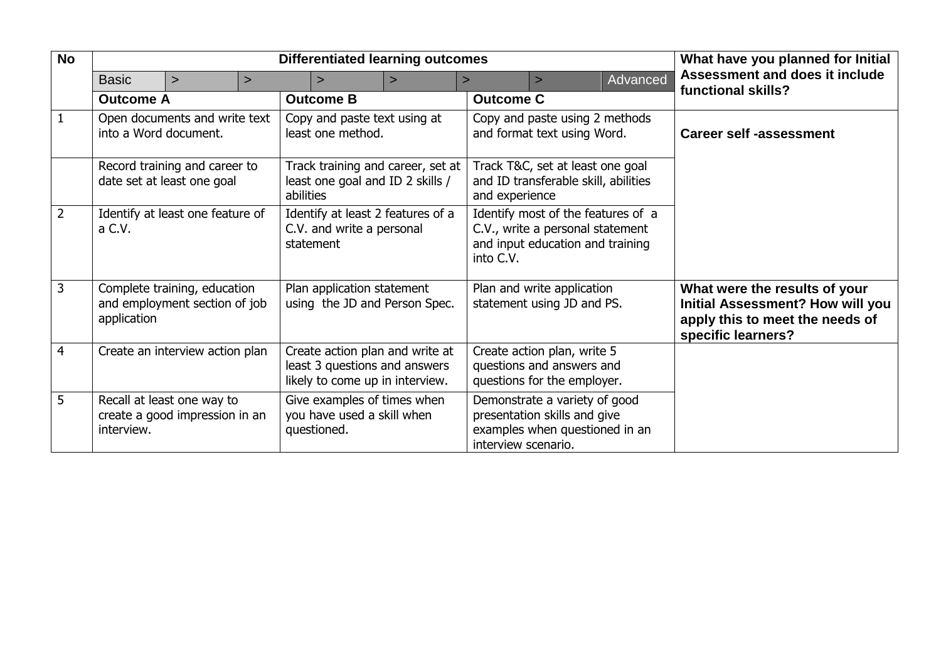| <b>No</b>      | <b>Differentiated learning outcomes</b>                     |                                                               |                                                                             |                                                                                                     |                                                             |                                                                                                            | What have you planned for Initial                                                               |                                                          |          |                                                                                                                                   |
|----------------|-------------------------------------------------------------|---------------------------------------------------------------|-----------------------------------------------------------------------------|-----------------------------------------------------------------------------------------------------|-------------------------------------------------------------|------------------------------------------------------------------------------------------------------------|-------------------------------------------------------------------------------------------------|----------------------------------------------------------|----------|-----------------------------------------------------------------------------------------------------------------------------------|
|                | <b>Basic</b>                                                | $\geq$                                                        | $\geq$                                                                      |                                                                                                     | $\geq$                                                      | $\geq$                                                                                                     | $\geq$                                                                                          | $\geq$                                                   | Advanced | <b>Assessment and does it include</b>                                                                                             |
|                | <b>Outcome A</b>                                            |                                                               |                                                                             |                                                                                                     | <b>Outcome B</b>                                            |                                                                                                            | <b>Outcome C</b>                                                                                |                                                          |          | functional skills?                                                                                                                |
|                | Open documents and write text<br>into a Word document.      |                                                               | Copy and paste text using at<br>least one method.                           |                                                                                                     |                                                             | Copy and paste using 2 methods<br>and format text using Word.                                              |                                                                                                 | <b>Career self -assessment</b>                           |          |                                                                                                                                   |
|                | Record training and career to<br>date set at least one goal |                                                               |                                                                             | Track training and career, set at<br>least one goal and ID 2 skills /<br>abilities                  |                                                             | Track T&C, set at least one goal<br>and ID transferable skill, abilities<br>and experience                 |                                                                                                 |                                                          |          |                                                                                                                                   |
| $\overline{2}$ | Identify at least one feature of<br>a C.V.                  |                                                               | Identify at least 2 features of a<br>C.V. and write a personal<br>statement |                                                                                                     | into C.V.                                                   | Identify most of the features of a<br>C.V., write a personal statement<br>and input education and training |                                                                                                 |                                                          |          |                                                                                                                                   |
| 3              | application                                                 | Complete training, education<br>and employment section of job |                                                                             |                                                                                                     | Plan application statement<br>using the JD and Person Spec. |                                                                                                            |                                                                                                 | Plan and write application<br>statement using JD and PS. |          | What were the results of your<br><b>Initial Assessment? How will you</b><br>apply this to meet the needs of<br>specific learners? |
| $\overline{4}$ |                                                             | Create an interview action plan                               |                                                                             | Create action plan and write at<br>least 3 questions and answers<br>likely to come up in interview. |                                                             | Create action plan, write 5<br>questions and answers and<br>questions for the employer.                    |                                                                                                 |                                                          |          |                                                                                                                                   |
| 5              | interview.                                                  | Recall at least one way to<br>create a good impression in an  |                                                                             | Give examples of times when<br>you have used a skill when<br>questioned.                            |                                                             | interview scenario.                                                                                        | Demonstrate a variety of good<br>presentation skills and give<br>examples when questioned in an |                                                          |          |                                                                                                                                   |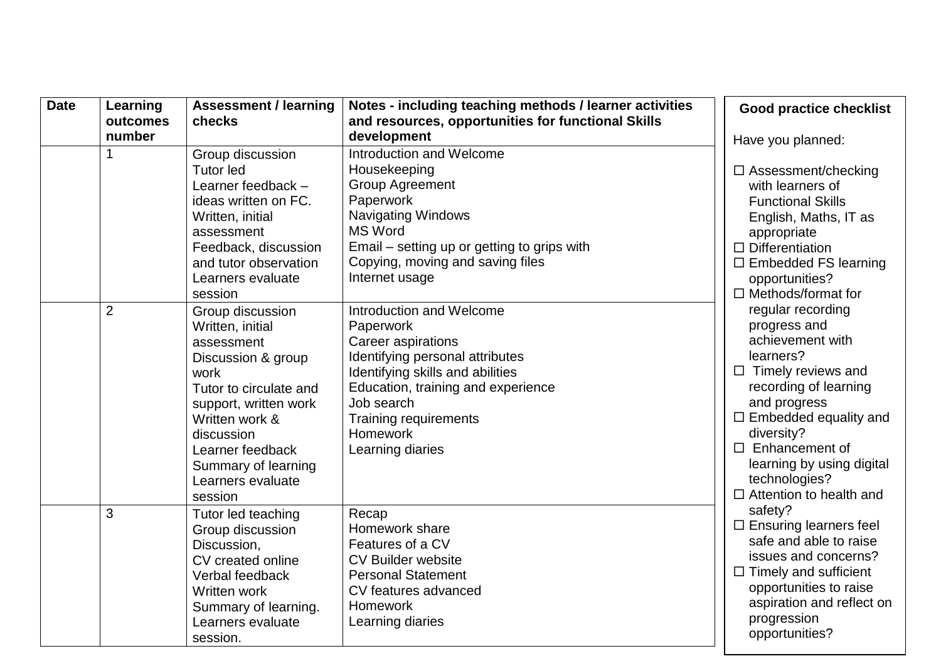| <b>Date</b> | Learning           | <b>Assessment / learning</b><br>checks                                                                                                                                                                                                         | Notes - including teaching methods / learner activities                                                                                                                                                                                                       | <b>Good practice checklist</b>                                                                                                                                                                                                                                                                     |
|-------------|--------------------|------------------------------------------------------------------------------------------------------------------------------------------------------------------------------------------------------------------------------------------------|---------------------------------------------------------------------------------------------------------------------------------------------------------------------------------------------------------------------------------------------------------------|----------------------------------------------------------------------------------------------------------------------------------------------------------------------------------------------------------------------------------------------------------------------------------------------------|
|             | outcomes<br>number |                                                                                                                                                                                                                                                | and resources, opportunities for functional Skills<br>development                                                                                                                                                                                             | Have you planned:                                                                                                                                                                                                                                                                                  |
|             |                    | Group discussion<br><b>Tutor led</b><br>Learner feedback -<br>ideas written on FC.<br>Written, initial<br>assessment<br>Feedback, discussion                                                                                                   | Introduction and Welcome<br>Housekeeping<br><b>Group Agreement</b><br>Paperwork<br><b>Navigating Windows</b><br><b>MS Word</b><br>Email – setting up or getting to grips with                                                                                 | $\Box$ Assessment/checking<br>with learners of<br><b>Functional Skills</b><br>English, Maths, IT as<br>appropriate<br>$\Box$ Differentiation                                                                                                                                                       |
|             |                    | and tutor observation<br>Learners evaluate<br>session                                                                                                                                                                                          | Copying, moving and saving files<br>Internet usage                                                                                                                                                                                                            | $\Box$ Embedded FS learning<br>opportunities?<br>$\Box$ Methods/format for                                                                                                                                                                                                                         |
|             | $\overline{2}$     | Group discussion<br>Written, initial<br>assessment<br>Discussion & group<br>work<br>Tutor to circulate and<br>support, written work<br>Written work &<br>discussion<br>Learner feedback<br>Summary of learning<br>Learners evaluate<br>session | Introduction and Welcome<br>Paperwork<br><b>Career aspirations</b><br>Identifying personal attributes<br>Identifying skills and abilities<br>Education, training and experience<br>Job search<br><b>Training requirements</b><br>Homework<br>Learning diaries | regular recording<br>progress and<br>achievement with<br>learners?<br>$\Box$ Timely reviews and<br>recording of learning<br>and progress<br>$\Box$ Embedded equality and<br>diversity?<br>Enhancement of<br>$\Box$<br>learning by using digital<br>technologies?<br>$\Box$ Attention to health and |
|             | 3                  | Tutor led teaching<br>Group discussion<br>Discussion,<br>CV created online<br>Verbal feedback<br>Written work<br>Summary of learning.<br>Learners evaluate<br>session.                                                                         | Recap<br>Homework share<br>Features of a CV<br><b>CV Builder website</b><br><b>Personal Statement</b><br>CV features advanced<br><b>Homework</b><br>Learning diaries                                                                                          | safety?<br>$\Box$ Ensuring learners feel<br>safe and able to raise<br>issues and concerns?<br>$\Box$ Timely and sufficient<br>opportunities to raise<br>aspiration and reflect on<br>progression<br>opportunities?                                                                                 |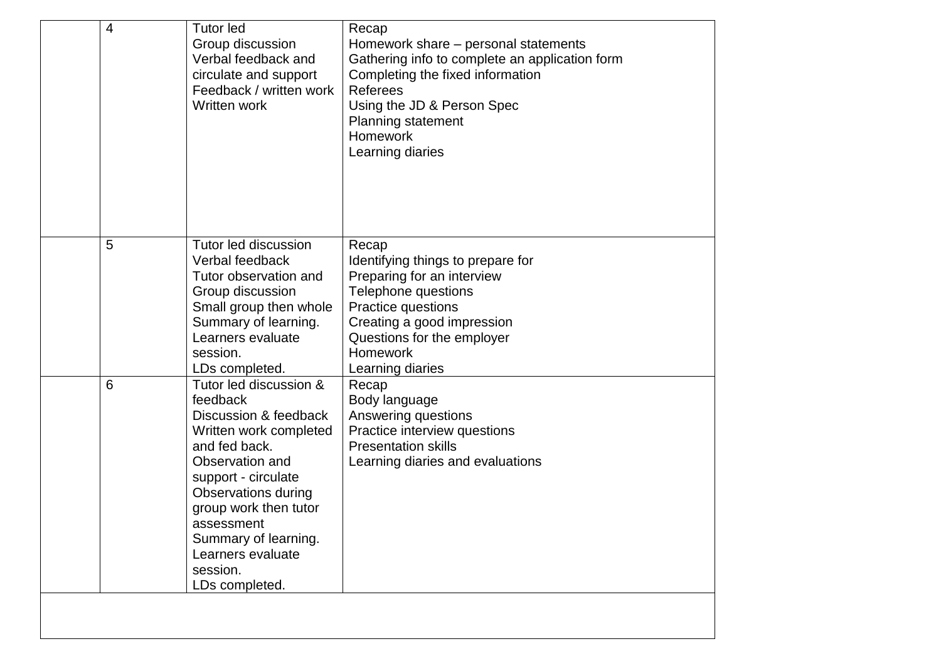| 4 | <b>Tutor led</b><br>Group discussion<br>Verbal feedback and<br>circulate and support<br>Feedback / written work<br>Written work                                                                                                                                                                  | Recap<br>Homework share – personal statements<br>Gathering info to complete an application form<br>Completing the fixed information<br><b>Referees</b><br>Using the JD & Person Spec<br><b>Planning statement</b><br><b>Homework</b><br>Learning diaries |
|---|--------------------------------------------------------------------------------------------------------------------------------------------------------------------------------------------------------------------------------------------------------------------------------------------------|----------------------------------------------------------------------------------------------------------------------------------------------------------------------------------------------------------------------------------------------------------|
| 5 | Tutor led discussion<br>Verbal feedback<br>Tutor observation and<br>Group discussion<br>Small group then whole<br>Summary of learning.<br>Learners evaluate<br>session.<br>LDs completed.                                                                                                        | Recap<br>Identifying things to prepare for<br>Preparing for an interview<br>Telephone questions<br>Practice questions<br>Creating a good impression<br>Questions for the employer<br><b>Homework</b><br>Learning diaries                                 |
| 6 | Tutor led discussion &<br>feedback<br>Discussion & feedback<br>Written work completed<br>and fed back.<br>Observation and<br>support - circulate<br><b>Observations during</b><br>group work then tutor<br>assessment<br>Summary of learning.<br>Learners evaluate<br>session.<br>LDs completed. | Recap<br>Body language<br>Answering questions<br>Practice interview questions<br><b>Presentation skills</b><br>Learning diaries and evaluations                                                                                                          |